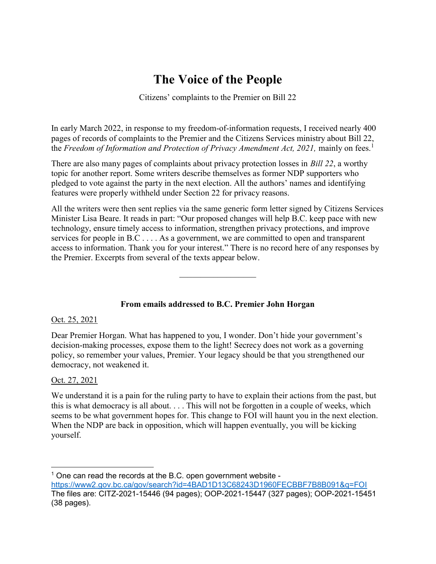# The Voice of the People

Citizens' complaints to the Premier on Bill 22

In early March 2022, in response to my freedom-of-information requests, I received nearly 400 pages of records of complaints to the Premier and the Citizens Services ministry about Bill 22, the Freedom of Information and Protection of Privacy Amendment Act, 2021, mainly on fees.<sup>1</sup>

There are also many pages of complaints about privacy protection losses in Bill 22, a worthy topic for another report. Some writers describe themselves as former NDP supporters who pledged to vote against the party in the next election. All the authors' names and identifying features were properly withheld under Section 22 for privacy reasons.

All the writers were then sent replies via the same generic form letter signed by Citizens Services Minister Lisa Beare. It reads in part: "Our proposed changes will help B.C. keep pace with new technology, ensure timely access to information, strengthen privacy protections, and improve services for people in B.C . . . . As a government, we are committed to open and transparent access to information. Thank you for your interest." There is no record here of any responses by the Premier. Excerpts from several of the texts appear below.

# From emails addressed to B.C. Premier John Horgan

# Oct. 25, 2021

Dear Premier Horgan. What has happened to you, I wonder. Don't hide your government's decision-making processes, expose them to the light! Secrecy does not work as a governing policy, so remember your values, Premier. Your legacy should be that you strengthened our democracy, not weakened it.

# Oct. 27, 2021

 $\overline{a}$ 

We understand it is a pain for the ruling party to have to explain their actions from the past, but this is what democracy is all about. . . . This will not be forgotten in a couple of weeks, which seems to be what government hopes for. This change to FOI will haunt you in the next election. When the NDP are back in opposition, which will happen eventually, you will be kicking yourself.

 $1$  One can read the records at the B.C. open government website https://www2.gov.bc.ca/gov/search?id=4BAD1D13C68243D1960FECBBF7B8B091&q=FOI The files are: CITZ-2021-15446 (94 pages); OOP-2021-15447 (327 pages); OOP-2021-15451 (38 pages).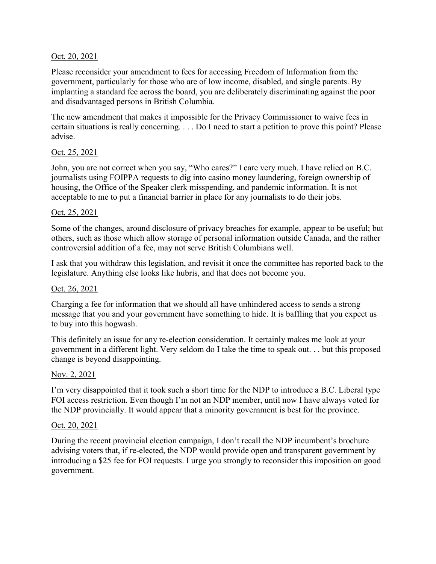# Oct. 20, 2021

Please reconsider your amendment to fees for accessing Freedom of Information from the government, particularly for those who are of low income, disabled, and single parents. By implanting a standard fee across the board, you are deliberately discriminating against the poor and disadvantaged persons in British Columbia.

The new amendment that makes it impossible for the Privacy Commissioner to waive fees in certain situations is really concerning. . . . Do I need to start a petition to prove this point? Please advise.

# Oct. 25, 2021

John, you are not correct when you say, "Who cares?" I care very much. I have relied on B.C. journalists using FOIPPA requests to dig into casino money laundering, foreign ownership of housing, the Office of the Speaker clerk misspending, and pandemic information. It is not acceptable to me to put a financial barrier in place for any journalists to do their jobs.

# Oct. 25, 2021

Some of the changes, around disclosure of privacy breaches for example, appear to be useful; but others, such as those which allow storage of personal information outside Canada, and the rather controversial addition of a fee, may not serve British Columbians well.

I ask that you withdraw this legislation, and revisit it once the committee has reported back to the legislature. Anything else looks like hubris, and that does not become you.

# Oct. 26, 2021

Charging a fee for information that we should all have unhindered access to sends a strong message that you and your government have something to hide. It is baffling that you expect us to buy into this hogwash.

This definitely an issue for any re-election consideration. It certainly makes me look at your government in a different light. Very seldom do I take the time to speak out. . . but this proposed change is beyond disappointing.

# Nov. 2, 2021

I'm very disappointed that it took such a short time for the NDP to introduce a B.C. Liberal type FOI access restriction. Even though I'm not an NDP member, until now I have always voted for the NDP provincially. It would appear that a minority government is best for the province.

# Oct. 20, 2021

During the recent provincial election campaign, I don't recall the NDP incumbent's brochure advising voters that, if re-elected, the NDP would provide open and transparent government by introducing a \$25 fee for FOI requests. I urge you strongly to reconsider this imposition on good government.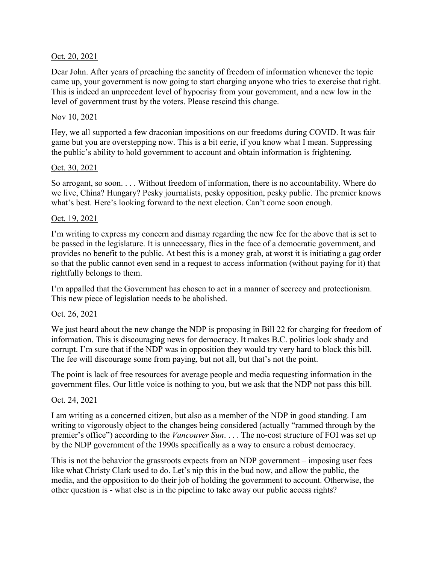# Oct. 20, 2021

Dear John. After years of preaching the sanctity of freedom of information whenever the topic came up, your government is now going to start charging anyone who tries to exercise that right. This is indeed an unprecedent level of hypocrisy from your government, and a new low in the level of government trust by the voters. Please rescind this change.

# Nov 10, 2021

Hey, we all supported a few draconian impositions on our freedoms during COVID. It was fair game but you are overstepping now. This is a bit eerie, if you know what I mean. Suppressing the public's ability to hold government to account and obtain information is frightening.

# Oct. 30, 2021

So arrogant, so soon. . . . Without freedom of information, there is no accountability. Where do we live, China? Hungary? Pesky journalists, pesky opposition, pesky public. The premier knows what's best. Here's looking forward to the next election. Can't come soon enough.

# Oct. 19, 2021

I'm writing to express my concern and dismay regarding the new fee for the above that is set to be passed in the legislature. It is unnecessary, flies in the face of a democratic government, and provides no benefit to the public. At best this is a money grab, at worst it is initiating a gag order so that the public cannot even send in a request to access information (without paying for it) that rightfully belongs to them.

I'm appalled that the Government has chosen to act in a manner of secrecy and protectionism. This new piece of legislation needs to be abolished.

# Oct. 26, 2021

We just heard about the new change the NDP is proposing in Bill 22 for charging for freedom of information. This is discouraging news for democracy. It makes B.C. politics look shady and corrupt. I'm sure that if the NDP was in opposition they would try very hard to block this bill. The fee will discourage some from paying, but not all, but that's not the point.

The point is lack of free resources for average people and media requesting information in the government files. Our little voice is nothing to you, but we ask that the NDP not pass this bill.

# Oct. 24, 2021

I am writing as a concerned citizen, but also as a member of the NDP in good standing. I am writing to vigorously object to the changes being considered (actually "rammed through by the premier's office") according to the *Vancouver Sun*. . . . The no-cost structure of FOI was set up by the NDP government of the 1990s specifically as a way to ensure a robust democracy.

This is not the behavior the grassroots expects from an NDP government – imposing user fees like what Christy Clark used to do. Let's nip this in the bud now, and allow the public, the media, and the opposition to do their job of holding the government to account. Otherwise, the other question is - what else is in the pipeline to take away our public access rights?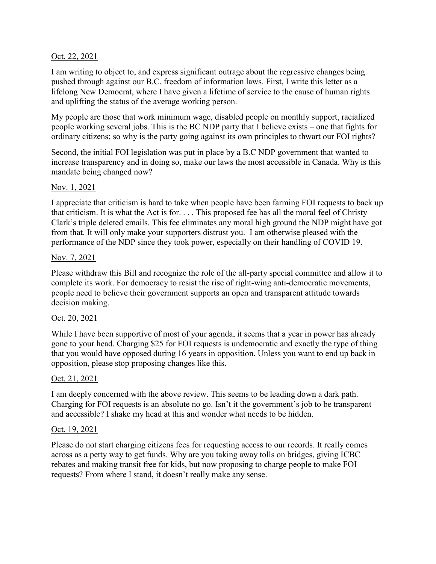# Oct. 22, 2021

I am writing to object to, and express significant outrage about the regressive changes being pushed through against our B.C. freedom of information laws. First, I write this letter as a lifelong New Democrat, where I have given a lifetime of service to the cause of human rights and uplifting the status of the average working person.

My people are those that work minimum wage, disabled people on monthly support, racialized people working several jobs. This is the BC NDP party that I believe exists – one that fights for ordinary citizens; so why is the party going against its own principles to thwart our FOI rights?

Second, the initial FOI legislation was put in place by a B.C NDP government that wanted to increase transparency and in doing so, make our laws the most accessible in Canada. Why is this mandate being changed now?

# Nov. 1, 2021

I appreciate that criticism is hard to take when people have been farming FOI requests to back up that criticism. It is what the Act is for. . . . This proposed fee has all the moral feel of Christy Clark's triple deleted emails. This fee eliminates any moral high ground the NDP might have got from that. It will only make your supporters distrust you. I am otherwise pleased with the performance of the NDP since they took power, especially on their handling of COVID 19.

# Nov. 7, 2021

Please withdraw this Bill and recognize the role of the all-party special committee and allow it to complete its work. For democracy to resist the rise of right-wing anti-democratic movements, people need to believe their government supports an open and transparent attitude towards decision making.

# Oct. 20, 2021

While I have been supportive of most of your agenda, it seems that a year in power has already gone to your head. Charging \$25 for FOI requests is undemocratic and exactly the type of thing that you would have opposed during 16 years in opposition. Unless you want to end up back in opposition, please stop proposing changes like this.

# Oct. 21, 2021

I am deeply concerned with the above review. This seems to be leading down a dark path. Charging for FOI requests is an absolute no go. Isn't it the government's job to be transparent and accessible? I shake my head at this and wonder what needs to be hidden.

# Oct. 19, 2021

Please do not start charging citizens fees for requesting access to our records. It really comes across as a petty way to get funds. Why are you taking away tolls on bridges, giving ICBC rebates and making transit free for kids, but now proposing to charge people to make FOI requests? From where I stand, it doesn't really make any sense.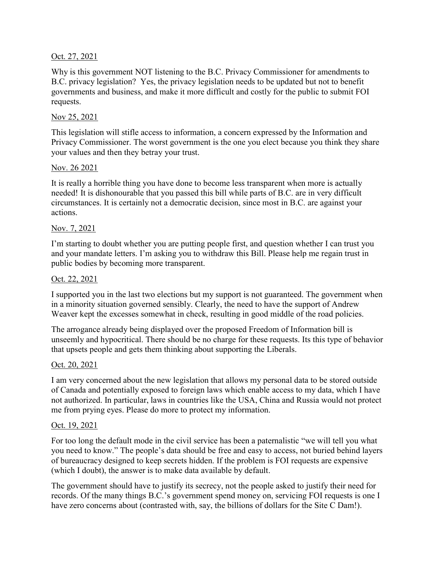# Oct. 27, 2021

Why is this government NOT listening to the B.C. Privacy Commissioner for amendments to B.C. privacy legislation? Yes, the privacy legislation needs to be updated but not to benefit governments and business, and make it more difficult and costly for the public to submit FOI requests.

# Nov 25, 2021

This legislation will stifle access to information, a concern expressed by the Information and Privacy Commissioner. The worst government is the one you elect because you think they share your values and then they betray your trust.

# Nov. 26 2021

It is really a horrible thing you have done to become less transparent when more is actually needed! It is dishonourable that you passed this bill while parts of B.C. are in very difficult circumstances. It is certainly not a democratic decision, since most in B.C. are against your actions.

# Nov. 7, 2021

I'm starting to doubt whether you are putting people first, and question whether I can trust you and your mandate letters. I'm asking you to withdraw this Bill. Please help me regain trust in public bodies by becoming more transparent.

# Oct. 22, 2021

I supported you in the last two elections but my support is not guaranteed. The government when in a minority situation governed sensibly. Clearly, the need to have the support of Andrew Weaver kept the excesses somewhat in check, resulting in good middle of the road policies.

The arrogance already being displayed over the proposed Freedom of Information bill is unseemly and hypocritical. There should be no charge for these requests. Its this type of behavior that upsets people and gets them thinking about supporting the Liberals.

# Oct. 20, 2021

I am very concerned about the new legislation that allows my personal data to be stored outside of Canada and potentially exposed to foreign laws which enable access to my data, which I have not authorized. In particular, laws in countries like the USA, China and Russia would not protect me from prying eyes. Please do more to protect my information.

#### Oct. 19, 2021

For too long the default mode in the civil service has been a paternalistic "we will tell you what you need to know." The people's data should be free and easy to access, not buried behind layers of bureaucracy designed to keep secrets hidden. If the problem is FOI requests are expensive (which I doubt), the answer is to make data available by default.

The government should have to justify its secrecy, not the people asked to justify their need for records. Of the many things B.C.'s government spend money on, servicing FOI requests is one I have zero concerns about (contrasted with, say, the billions of dollars for the Site C Dam!).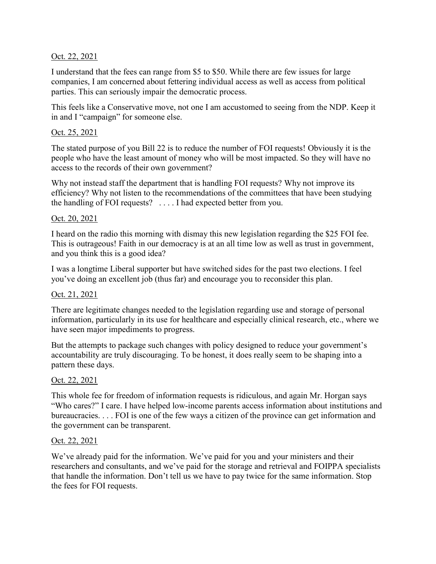# Oct. 22, 2021

I understand that the fees can range from \$5 to \$50. While there are few issues for large companies, I am concerned about fettering individual access as well as access from political parties. This can seriously impair the democratic process.

This feels like a Conservative move, not one I am accustomed to seeing from the NDP. Keep it in and I "campaign" for someone else.

# Oct. 25, 2021

The stated purpose of you Bill 22 is to reduce the number of FOI requests! Obviously it is the people who have the least amount of money who will be most impacted. So they will have no access to the records of their own government?

Why not instead staff the department that is handling FOI requests? Why not improve its efficiency? Why not listen to the recommendations of the committees that have been studying the handling of FOI requests? . . . . I had expected better from you.

# Oct. 20, 2021

I heard on the radio this morning with dismay this new legislation regarding the \$25 FOI fee. This is outrageous! Faith in our democracy is at an all time low as well as trust in government, and you think this is a good idea?

I was a longtime Liberal supporter but have switched sides for the past two elections. I feel you've doing an excellent job (thus far) and encourage you to reconsider this plan.

# Oct. 21, 2021

There are legitimate changes needed to the legislation regarding use and storage of personal information, particularly in its use for healthcare and especially clinical research, etc., where we have seen major impediments to progress.

But the attempts to package such changes with policy designed to reduce your government's accountability are truly discouraging. To be honest, it does really seem to be shaping into a pattern these days.

# Oct. 22, 2021

This whole fee for freedom of information requests is ridiculous, and again Mr. Horgan says "Who cares?" I care. I have helped low-income parents access information about institutions and bureaucracies. . . . FOI is one of the few ways a citizen of the province can get information and the government can be transparent.

# Oct. 22, 2021

We've already paid for the information. We've paid for you and your ministers and their researchers and consultants, and we've paid for the storage and retrieval and FOIPPA specialists that handle the information. Don't tell us we have to pay twice for the same information. Stop the fees for FOI requests.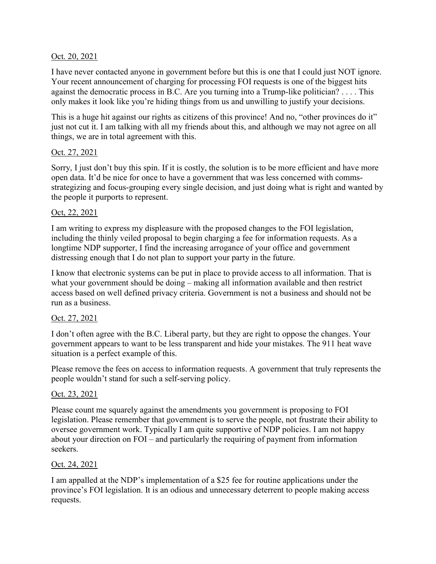# Oct. 20, 2021

I have never contacted anyone in government before but this is one that I could just NOT ignore. Your recent announcement of charging for processing FOI requests is one of the biggest hits against the democratic process in B.C. Are you turning into a Trump-like politician? . . . . This only makes it look like you're hiding things from us and unwilling to justify your decisions.

This is a huge hit against our rights as citizens of this province! And no, "other provinces do it" just not cut it. I am talking with all my friends about this, and although we may not agree on all things, we are in total agreement with this.

# Oct. 27, 2021

Sorry, I just don't buy this spin. If it is costly, the solution is to be more efficient and have more open data. It'd be nice for once to have a government that was less concerned with commsstrategizing and focus-grouping every single decision, and just doing what is right and wanted by the people it purports to represent.

# Oct, 22, 2021

I am writing to express my displeasure with the proposed changes to the FOI legislation, including the thinly veiled proposal to begin charging a fee for information requests. As a longtime NDP supporter, I find the increasing arrogance of your office and government distressing enough that I do not plan to support your party in the future.

I know that electronic systems can be put in place to provide access to all information. That is what your government should be doing – making all information available and then restrict access based on well defined privacy criteria. Government is not a business and should not be run as a business.

# Oct. 27, 2021

I don't often agree with the B.C. Liberal party, but they are right to oppose the changes. Your government appears to want to be less transparent and hide your mistakes. The 911 heat wave situation is a perfect example of this.

Please remove the fees on access to information requests. A government that truly represents the people wouldn't stand for such a self-serving policy.

# Oct. 23, 2021

Please count me squarely against the amendments you government is proposing to FOI legislation. Please remember that government is to serve the people, not frustrate their ability to oversee government work. Typically I am quite supportive of NDP policies. I am not happy about your direction on FOI – and particularly the requiring of payment from information seekers.

# Oct. 24, 2021

I am appalled at the NDP's implementation of a \$25 fee for routine applications under the province's FOI legislation. It is an odious and unnecessary deterrent to people making access requests.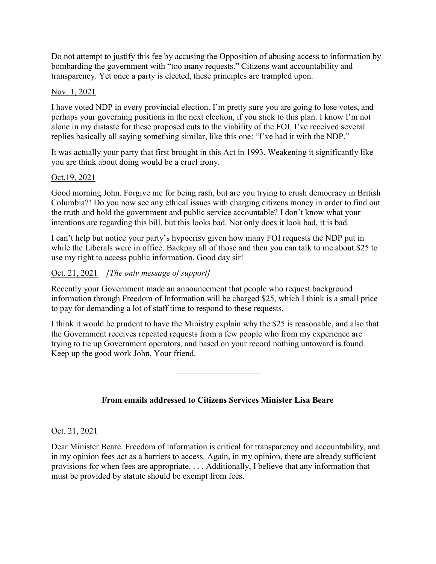Do not attempt to justify this fee by accusing the Opposition of abusing access to information by bombarding the government with "too many requests." Citizens want accountability and transparency. Yet once a party is elected, these principles are trampled upon.

# Nov. 1, 2021

I have voted NDP in every provincial election. I'm pretty sure you are going to lose votes, and perhaps your governing positions in the next election, if you stick to this plan. I know I'm not alone in my distaste for these proposed cuts to the viability of the FOI. I've received several replies basically all saying something similar, like this one: "I've had it with the NDP."

It was actually your party that first brought in this Act in 1993. Weakening it significantly like you are think about doing would be a cruel irony.

# Oct.19, 2021

Good morning John. Forgive me for being rash, but are you trying to crush democracy in British Columbia?! Do you now see any ethical issues with charging citizens money in order to find out the truth and hold the government and public service accountable? I don't know what your intentions are regarding this bill, but this looks bad. Not only does it look bad, it is bad.

I can't help but notice your party's hypocrisy given how many FOI requests the NDP put in while the Liberals were in office. Backpay all of those and then you can talk to me about \$25 to use my right to access public information. Good day sir!

# Oct. 21, 2021 [The only message of support]

Recently your Government made an announcement that people who request background information through Freedom of Information will be charged \$25, which I think is a small price to pay for demanding a lot of staff time to respond to these requests.

I think it would be prudent to have the Ministry explain why the \$25 is reasonable, and also that the Government receives repeated requests from a few people who from my experience are trying to tie up Government operators, and based on your record nothing untoward is found. Keep up the good work John. Your friend.

From emails addressed to Citizens Services Minister Lisa Beare

# Oct. 21, 2021

Dear Minister Beare. Freedom of information is critical for transparency and accountability, and in my opinion fees act as a barriers to access. Again, in my opinion, there are already sufficient provisions for when fees are appropriate. . . . Additionally, I believe that any information that must be provided by statute should be exempt from fees.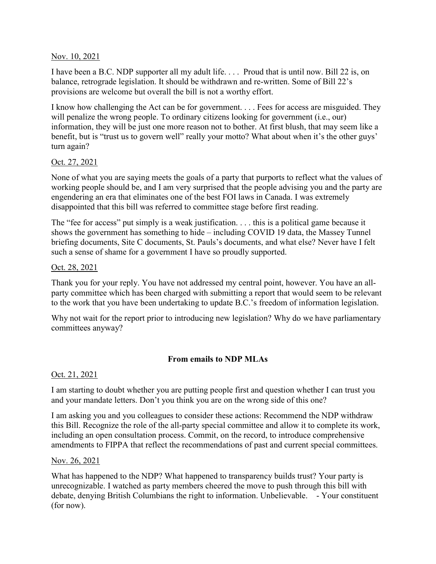# Nov. 10, 2021

I have been a B.C. NDP supporter all my adult life.  $\ldots$  Proud that is until now. Bill 22 is, on balance, retrograde legislation. It should be withdrawn and re-written. Some of Bill 22's provisions are welcome but overall the bill is not a worthy effort.

I know how challenging the Act can be for government. . . . Fees for access are misguided. They will penalize the wrong people. To ordinary citizens looking for government (i.e., our) information, they will be just one more reason not to bother. At first blush, that may seem like a benefit, but is "trust us to govern well" really your motto? What about when it's the other guys' turn again?

#### Oct. 27, 2021

None of what you are saying meets the goals of a party that purports to reflect what the values of working people should be, and I am very surprised that the people advising you and the party are engendering an era that eliminates one of the best FOI laws in Canada. I was extremely disappointed that this bill was referred to committee stage before first reading.

The "fee for access" put simply is a weak justification. . . . this is a political game because it shows the government has something to hide – including COVID 19 data, the Massey Tunnel briefing documents, Site C documents, St. Pauls's documents, and what else? Never have I felt such a sense of shame for a government I have so proudly supported.

#### Oct. 28, 2021

Thank you for your reply. You have not addressed my central point, however. You have an allparty committee which has been charged with submitting a report that would seem to be relevant to the work that you have been undertaking to update B.C.'s freedom of information legislation.

Why not wait for the report prior to introducing new legislation? Why do we have parliamentary committees anyway?

# From emails to NDP MLAs

# Oct. 21, 2021

I am starting to doubt whether you are putting people first and question whether I can trust you and your mandate letters. Don't you think you are on the wrong side of this one?

I am asking you and you colleagues to consider these actions: Recommend the NDP withdraw this Bill. Recognize the role of the all-party special committee and allow it to complete its work, including an open consultation process. Commit, on the record, to introduce comprehensive amendments to FIPPA that reflect the recommendations of past and current special committees.

#### Nov. 26, 2021

What has happened to the NDP? What happened to transparency builds trust? Your party is unrecognizable. I watched as party members cheered the move to push through this bill with debate, denying British Columbians the right to information. Unbelievable. - Your constituent (for now).